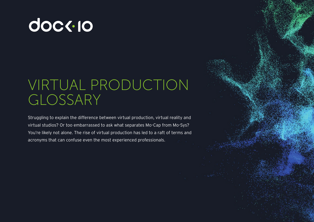# **doc<-10**

# VIRTUAL PRODUCTION GLOSSARY

Struggling to explain the difference between virtual production, virtual reality and virtual studios? Or too embarrassed to ask what separates Mo-Cap from Mo-Sys? You're likely not alone. The rise of virtual production has led to a raft of terms and acronyms that can confuse even the most experienced professionals.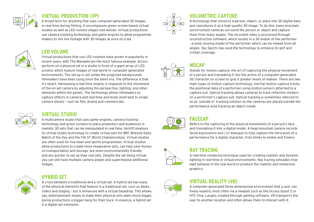

#### **VIRTUAL PRODUCTION (VP)**

A broad term for anything that uses computer-generated 3D images in real-time during filming. It encompasses green screen-based virtual studios as well as LED volume stages (see below). Virtual productions use camera tracking technology and game engines to allow programme makers to mix live footage with 3D images at once on a set.

# **LED VOLUME**

#### Virtual productions that use LED volumes have grown in popularity in recent years, with The Mandalorian the most famous example. Actors perform on a physical set in a studio in front of a giant array of LED screens which feature images of real-world or computer-generated environments. The set-up is not unlike the projected backgrounds filmmakers have been using since the silent era. The difference is that it's smart. Harnessing a real-time engine, it responds to the movement of the on-set camera by adjusting the perspective, lighting, and other elements within the panels. The technology allows filmmakers to capture effects in-camera and real-time and lends itself best to single camera shoots – such as film, drama and commercials.

# **VIRTUAL STUDIO**

A multicamera studio that uses game engines, camera tracking technology and green screens to place presenters and audiences in realistic 3D sets that can be manipulated in real-time. dock10 employs its virtual studio technology to create virtual sets for BBC Bitesize Daily, Match of the Day and the FIA GT World Championships. Virtual studios are often used for live news and sports programmes. Virtual studios allow productions to create more imaginative sets, can help save money on transportation and storage, are more environmentally friendly and are quicker to set up than real sets. Despite the set being virtual, you can still have multiple camera angles and superimpose additional images.



# **HYBRID SET**

A cross between a traditional and a virtual set. A hybrid set has many of the physical elements that feature in a traditional set, such as desks, chairs and staging – but is enhanced with a virtual backdrop. This allows, say, entertainment shows to make their physical sets seem much bigger, giving productions a bigger bang for their buck. In essence, a hybrid set is a digital set extension.



# **VOLUMETRIC CAPTURE**

A technology that converts a person, object, or place into 3D digital data and reproduces it as a high-quality 3D image. To do this, many precisely synchronised cameras surround the person or object and capture them from many angles. The recorded video is processed through reconstruction software, which results in a 3D avatar of the performer - a solid, moving model of the performer which can be viewed from all angles. Sky Sports has used the technology to enhance its golf and cricket coverage.

# **MOCAP**

Stands for motion capture, the art of capturing the physical movement of a person and translating it into the action of a computer-generated 3D character on screen to give it greater levels of realism. There are two main types of motion capture technology. Inertial motion capture tracks the positional data of a performer using motion sensors attached to a capture suit. Optical tracking allows cameras to track reflective stickers on a performer's capture suit. Optical tracking is sometimes referred to as an 'outside in' tracking solution as the cameras are placed outside the performance area tracking an object inside.



### **FACECAP**

Refers to the capturing of the physical movements of a person's face and translating it into a digital model. A head mounted camera records facial expressions and / or dialogue to fully capture the intricacies of a performance for a digital character, from blinks to smiles and frowns.



# **RAY TRACING**

A real-time rendering technique used for creating realistic and dynamic lighting in real-time in virtual environments. Ray tracing simulates how light behaves in the real world to produce the realistic and immersive graphics.

# **VIRTUAL REALITY (VR)**

A computer-generated three-dimensional environment that a user can freely explore, most often via a headset such as the Oculus Quest 2 or HTC Vive. Largely created through gaming software, VR transports the user to another location and often allows them to interact with it.